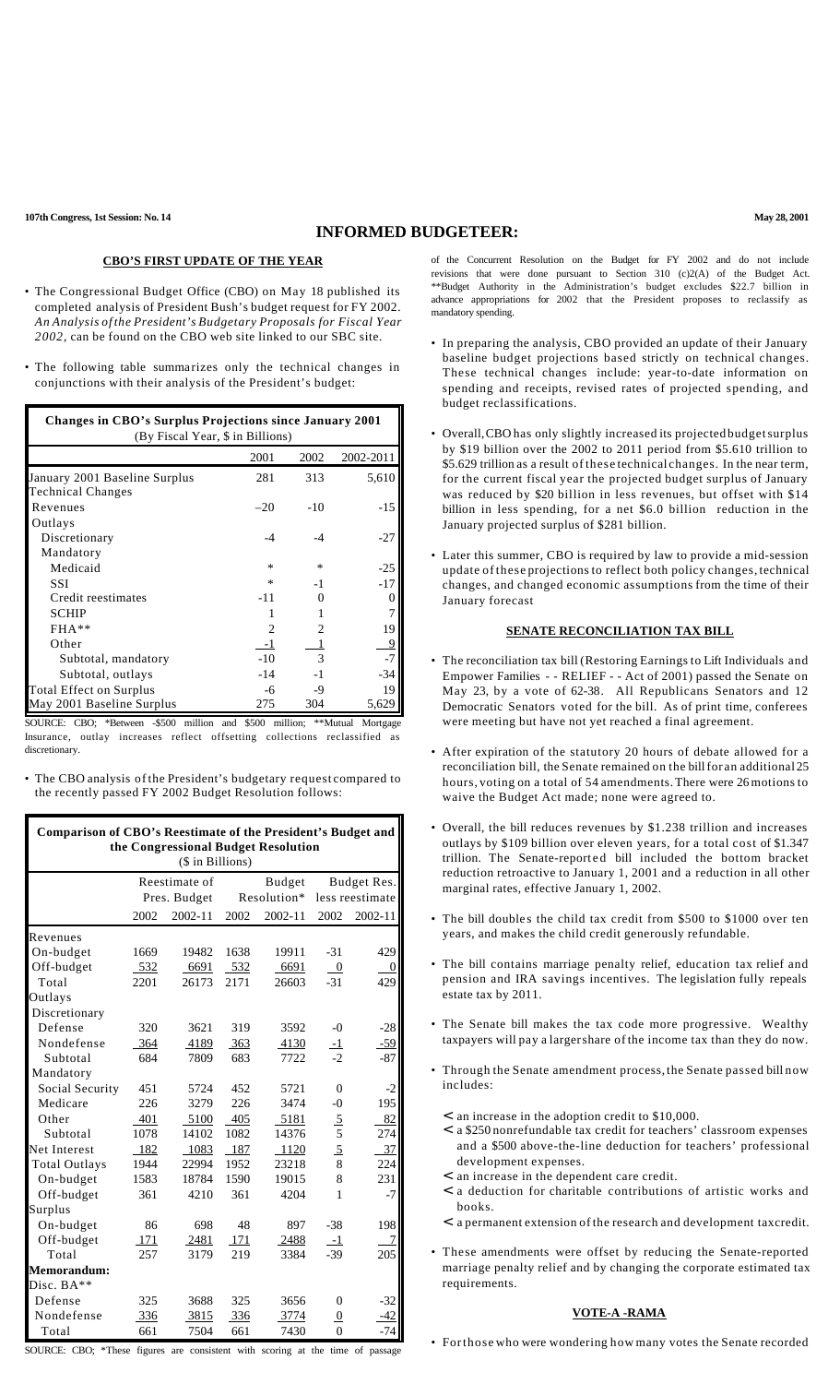# **INFORMED BUDGETEER:**

## **CBO'S FIRST UPDATE OF THE YEAR**

- The Congressional Budget Office (CBO) on May 18 published its completed analysis of President Bush's budget request for FY 2002. *An Analysis of the President's Budgetary Proposals for Fiscal Year 2002*, can be found on the CBO web site linked to our SBC site.
- The following table summarizes only the technical changes in conjunctions with their analysis of the President's budget:

| Changes in CBO's Surplus Projections since January 2001<br>(By Fiscal Year, \$ in Billions) |        |                |           |  |  |  |
|---------------------------------------------------------------------------------------------|--------|----------------|-----------|--|--|--|
|                                                                                             | 2001   | 2002           | 2002-2011 |  |  |  |
| January 2001 Baseline Surplus                                                               | 281    | 313            | 5,610     |  |  |  |
| <b>Technical Changes</b>                                                                    |        |                |           |  |  |  |
| Revenues                                                                                    | $-20$  | $-10$          | $-15$     |  |  |  |
| Outlays                                                                                     |        |                |           |  |  |  |
| Discretionary                                                                               | $-4$   | $-4$           | $-27$     |  |  |  |
| Mandatory                                                                                   |        |                |           |  |  |  |
| Medicaid                                                                                    | $\ast$ | *              | $-25$     |  |  |  |
| <b>SSI</b>                                                                                  | $\ast$ | $-1$           | $-17$     |  |  |  |
| Credit reestimates                                                                          | $-11$  |                | $\Omega$  |  |  |  |
| <b>SCHIP</b>                                                                                |        |                | 7         |  |  |  |
| $FHA***$                                                                                    |        | $\mathfrak{D}$ | 19        |  |  |  |
| Other                                                                                       | -1     |                | 9         |  |  |  |
| Subtotal, mandatory                                                                         | $-10$  | $\mathcal{R}$  | $-7$      |  |  |  |
| Subtotal, outlays                                                                           | $-14$  | $-1$           | $-34$     |  |  |  |
| Total Effect on Surplus                                                                     | -6     | -9             | 19        |  |  |  |
| May 2001 Baseline Surplus                                                                   | 275    | 304            | 5,629     |  |  |  |

SOURCE: CBO; \*Between -\$500 million and \$500 million; \*\*Mutual Mortgage Insurance, outlay increases reflect offsetting collections reclassified as discretionary.

• The CBO analysis of the President's budgetary request compared to the recently passed FY 2002 Budget Resolution follows:

| Comparison of CBO's Reestimate of the President's Budget and |      |              |             |         |                  |                  |  |
|--------------------------------------------------------------|------|--------------|-------------|---------|------------------|------------------|--|
| the Congressional Budget Resolution<br>(\$ in Billions)      |      |              |             |         |                  |                  |  |
|                                                              |      |              |             |         |                  |                  |  |
|                                                              |      | Pres. Budget | Resolution* |         | less reestimate  |                  |  |
|                                                              | 2002 | 2002-11      | 2002        | 2002-11 | 2002             | 2002-11          |  |
| Revenues                                                     |      |              |             |         |                  |                  |  |
| On-budget                                                    | 1669 | 19482        | 1638        | 19911   | $-31$            | 429              |  |
| Off-budget                                                   | 532  | 6691         | 532         | 6691    | $\boldsymbol{0}$ | $\boldsymbol{0}$ |  |
| Total                                                        | 2201 | 26173        | 2171        | 26603   | $-31$            | 429              |  |
| Outlays                                                      |      |              |             |         |                  |                  |  |
| Discretionary                                                |      |              |             |         |                  |                  |  |
| Defense                                                      | 320  | 3621         | 319         | 3592    | $-()$            | $-28$            |  |
| Nondefense                                                   | 364  | 4189         | 363         | 4130    | $\overline{-1}$  | $-59$            |  |
| Subtotal                                                     | 684  | 7809         | 683         | 7722    | $-2$             | -87              |  |
| Mandatory                                                    |      |              |             |         |                  |                  |  |
| Social Security                                              | 451  | 5724         | 452         | 5721    | $\theta$         | $-2$             |  |
| Medicare                                                     | 226  | 3279         | 226         | 3474    | $-()$            | 195              |  |
| Other                                                        | 401  | 5100         | 405         | 5181    | $\frac{5}{5}$    | 82               |  |
| Subtotal                                                     | 1078 | 14102        | 1082        | 14376   |                  | 274              |  |
| Net Interest                                                 | 182  | 1083         | 187         | 1120    | $\overline{5}$   | 37               |  |
| <b>Total Outlays</b>                                         | 1944 | 22994        | 1952        | 23218   | 8                | 224              |  |
| On-budget                                                    | 1583 | 18784        | 1590        | 19015   | 8                | 231              |  |
| Off-budget                                                   | 361  | 4210         | 361         | 4204    | 1                | $-7$             |  |
| Surplus                                                      |      |              |             |         |                  |                  |  |
| On-budget                                                    | 86   | 698          | 48          | 897     | $-38$            | 198              |  |
| Off-budget                                                   | 171  | 2481         | 171         | 2488    | $-1$             | 7                |  |
| Total                                                        | 257  | 3179         | 219         | 3384    | $-39$            | 205              |  |
| Memorandum:                                                  |      |              |             |         |                  |                  |  |
| Disc. $BA**$                                                 |      |              |             |         |                  |                  |  |
| Defense                                                      | 325  | 3688         | 325         | 3656    | $\Omega$         | $-32$            |  |
| Nondefense                                                   | 336  | 3815         | 336         | 3774    | $\overline{0}$   | $-42$            |  |
| Total                                                        | 661  | 7504         | 661         | 7430    | $\theta$         | $-74$            |  |

SOURCE: CBO; \*These figures are consistent with scoring at the time of passage

of the Concurrent Resolution on the Budget for FY 2002 and do not include revisions that were done pursuant to Section 310 (c)2(A) of the Budget Act. \*\*Budget Authority in the Administration's budget excludes \$22.7 billion in advance appropriations for 2002 that the President proposes to reclassify as mandatory spending.

- In preparing the analysis, CBO provided an update of their January baseline budget projections based strictly on technical changes. These technical changes include: year-to-date information on spending and receipts, revised rates of projected spending, and budget reclassifications.
- Overall,CBO has only slightly increased its projected budgetsurplus by \$19 billion over the 2002 to 2011 period from \$5.610 trillion to \$5.629 trillion as a result of these technical changes. In the near term, for the current fiscal year the projected budget surplus of January was reduced by \$20 billion in less revenues, but offset with \$14 billion in less spending, for a net \$6.0 billion reduction in the January projected surplus of \$281 billion.
- Later this summer, CBO is required by law to provide a mid-session update of these projections to reflect both policy changes, technical changes, and changed economic assumptions from the time of their January forecast

## **SENATE RECONCILIATION TAX BILL**

- The reconciliation tax bill (Restoring Earnings to Lift Individuals and Empower Families - - RELIEF - - Act of 2001) passed the Senate on May 23, by a vote of 62-38. All Republicans Senators and 12 Democratic Senators voted for the bill. As of print time, conferees were meeting but have not yet reached a final agreement.
- After expiration of the statutory 20 hours of debate allowed for a reconciliation bill, the Senate remained on the bill for an additional 25 hours, voting on a total of 54 amendments.There were 26 motions to waive the Budget Act made; none were agreed to.
- Overall, the bill reduces revenues by \$1.238 trillion and increases outlays by \$109 billion over eleven years, for a total cost of \$1.347 trillion. The Senate-reported bill included the bottom bracket reduction retroactive to January 1, 2001 and a reduction in all other marginal rates, effective January 1, 2002.
- The bill doubles the child tax credit from \$500 to \$1000 over ten years, and makes the child credit generously refundable.
- The bill contains marriage penalty relief, education tax relief and pension and IRA savings incentives. The legislation fully repeals estate tax by 2011.
- The Senate bill makes the tax code more progressive. Wealthy taxpayers will pay a largershare of the income tax than they do now.
- Through the Senate amendment process, the Senate passed bill now includes:
	- < an increase in the adoption credit to \$10,000.
	- < a \$250 nonrefundable tax credit for teachers' classroom expenses and a \$500 above-the-line deduction for teachers' professional development expenses.
	- < an increase in the dependent care credit.
	- < a deduction for charitable contributions of artistic works and books.
	- < a permanent extension of the research and development taxcredit.
- These amendments were offset by reducing the Senate-reported marriage penalty relief and by changing the corporate estimated tax requirements.

#### **VOTE-A -RAMA**

• Forthose who were wondering how many votes the Senate recorded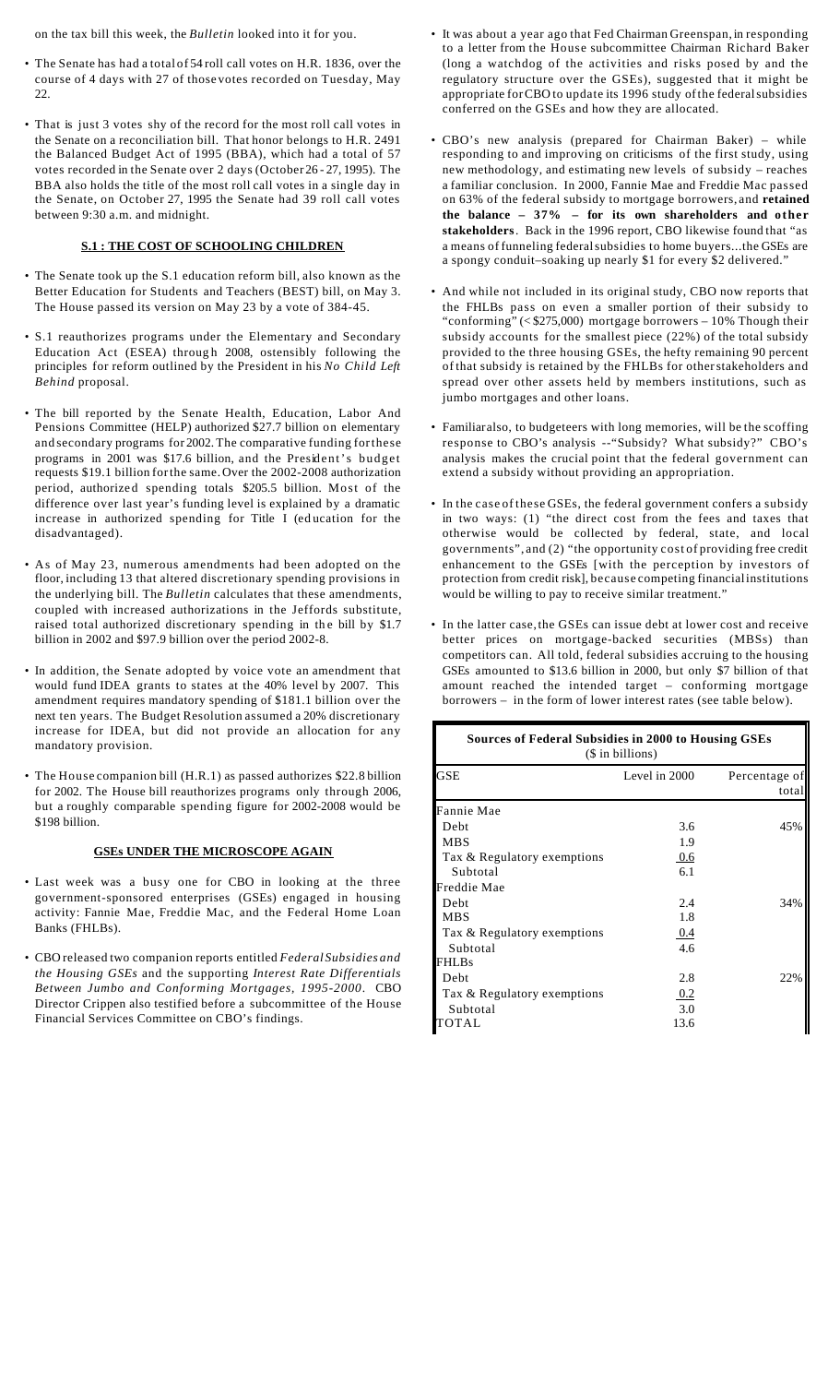on the tax bill this week, the *Bulletin* looked into it for you.

- The Senate has had a total of 54 roll call votes on H.R. 1836, over the course of 4 days with 27 of those votes recorded on Tuesday, May 22.
- That is just 3 votes shy of the record for the most roll call votes in the Senate on a reconciliation bill. That honor belongs to H.R. 2491 the Balanced Budget Act of 1995 (BBA), which had a total of 57 votes recorded in the Senate over 2 days (October 26 - 27, 1995). The BBA also holds the title of the most roll call votes in a single day in the Senate, on October 27, 1995 the Senate had 39 roll call votes between 9:30 a.m. and midnight.

## **S.1 : THE COST OF SCHOOLING CHILDREN**

- The Senate took up the S.1 education reform bill, also known as the Better Education for Students and Teachers (BEST) bill, on May 3. The House passed its version on May 23 by a vote of 384-45.
- S.1 reauthorizes programs under the Elementary and Secondary Education Act (ESEA) through 2008, ostensibly following the principles for reform outlined by the President in his *No Child Left Behind* proposal.
- The bill reported by the Senate Health, Education, Labor And Pensions Committee (HELP) authorized \$27.7 billion on elementary and secondary programs for 2002. The comparative funding forthese programs in 2001 was \$17.6 billion, and the President's budget requests \$19.1 billion forthe same.Over the 2002-2008 authorization period, authorized spending totals \$205.5 billion. Most of the difference over last year's funding level is explained by a dramatic increase in authorized spending for Title I (ed ucation for the disadvantaged).
- As of May 23, numerous amendments had been adopted on the floor, including 13 that altered discretionary spending provisions in the underlying bill. The *Bulletin* calculates that these amendments, coupled with increased authorizations in the Jeffords substitute, raised total authorized discretionary spending in the bill by \$1.7 billion in 2002 and \$97.9 billion over the period 2002-8.
- In addition, the Senate adopted by voice vote an amendment that would fund IDEA grants to states at the 40% level by 2007. This amendment requires mandatory spending of \$181.1 billion over the next ten years. The Budget Resolution assumed a 20% discretionary increase for IDEA, but did not provide an allocation for any mandatory provision.
- The House companion bill (H.R.1) as passed authorizes \$22.8 billion for 2002. The House bill reauthorizes programs only through 2006, but a roughly comparable spending figure for 2002-2008 would be \$198 billion.

## **GSEs UNDER THE MICROSCOPE AGAIN**

- Last week was a busy one for CBO in looking at the three government-sponsored enterprises (GSEs) engaged in housing activity: Fannie Mae, Freddie Mac, and the Federal Home Loan Banks (FHLBs).
- CBO released two companion reports entitled *Federal Subsidies and the Housing GSEs* and the supporting *Interest Rate Differentials Between Jumbo and Conforming Mortgages, 1995-2000*. CBO Director Crippen also testified before a subcommittee of the House Financial Services Committee on CBO's findings.
- It was about a year ago that Fed Chairman Greenspan, in responding to a letter from the House subcommittee Chairman Richard Baker (long a watchdog of the activities and risks posed by and the regulatory structure over the GSEs), suggested that it might be appropriate forCBO to update its 1996 study ofthe federalsubsidies conferred on the GSEs and how they are allocated.
- CBO's new analysis (prepared for Chairman Baker) while responding to and improving on criticisms of the first study, using new methodology, and estimating new levels of subsidy – reaches a familiar conclusion. In 2000, Fannie Mae and Freddie Mac passed on 63% of the federal subsidy to mortgage borrowers, and **retained the balance – 37% – for its own shareholders and other stakeholders**. Back in the 1996 report, CBO likewise found that "as a means of funneling federalsubsidies to home buyers...the GSEs are a spongy conduit–soaking up nearly \$1 for every \$2 delivered."
- And while not included in its original study, CBO now reports that the FHLBs pass on even a smaller portion of their subsidy to "conforming" (< \$275,000) mortgage borrowers – 10% Though their subsidy accounts for the smallest piece (22%) of the total subsidy provided to the three housing GSEs, the hefty remaining 90 percent of that subsidy is retained by the FHLBs for otherstakeholders and spread over other assets held by members institutions, such as jumbo mortgages and other loans.
- Familiaralso, to budgeteers with long memories, will be the scoffing response to CBO's analysis --"Subsidy? What subsidy?" CBO's analysis makes the crucial point that the federal government can extend a subsidy without providing an appropriation.
- In the case of these GSEs, the federal government confers a subsidy in two ways: (1) "the direct cost from the fees and taxes that otherwise would be collected by federal, state, and local governments", and (2) "the opportunity cost of providing free credit enhancement to the GSEs [with the perception by investors of protection from credit risk], because competing financialinstitutions would be willing to pay to receive similar treatment."
- In the latter case,the GSEs can issue debt at lower cost and receive better prices on mortgage-backed securities (MBSs) than competitors can. All told, federal subsidies accruing to the housing GSEs amounted to \$13.6 billion in 2000, but only \$7 billion of that amount reached the intended target – conforming mortgage borrowers – in the form of lower interest rates (see table below).

| Sources of Federal Subsidies in 2000 to Housing GSEs<br>$($$ in billions) |                        |  |  |  |
|---------------------------------------------------------------------------|------------------------|--|--|--|
| Level in 2000                                                             | Percentage of<br>total |  |  |  |
|                                                                           |                        |  |  |  |
| 3.6                                                                       | 45%                    |  |  |  |
| 1.9                                                                       |                        |  |  |  |
| 0.6                                                                       |                        |  |  |  |
| 6.1                                                                       |                        |  |  |  |
|                                                                           |                        |  |  |  |
| 2.4                                                                       | 34%                    |  |  |  |
| 1.8                                                                       |                        |  |  |  |
| <u>0.4</u>                                                                |                        |  |  |  |
| 4.6                                                                       |                        |  |  |  |
|                                                                           |                        |  |  |  |
| 2.8                                                                       | 22%                    |  |  |  |
| 0.2                                                                       |                        |  |  |  |
| 3.0                                                                       |                        |  |  |  |
| 13.6                                                                      |                        |  |  |  |
|                                                                           |                        |  |  |  |